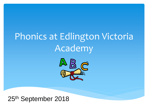# Phonics at Edlington Victoria Academy



#### 25th September 2018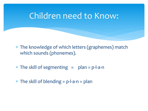#### Children need to Know:

- The knowledge of which letters (graphemes) match which sounds (phonemes).
- $*$  The skill of segmenting  $=$  plan = p-l-a-n
- $*$  The skill of blending  $= p$ -l-a-n  $=$  plan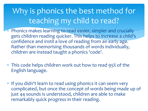## Why is phonics the best method for teaching my child to read?

- \* Phonics makes learning to read easier, simpler and crucially gets children reading quicker. This helps to increase a child's confidence and instil a love of reading from an early age. Rather than memorising thousands of words individually, children are instead taught a phonics 'code'.
- This code helps children work out how to read 95% of the English language.
- \* If you didn't learn to read using phonics it can seem very complicated, but once the concept of words being made up of just 44 sounds is understood, children are able to make remarkably quick progress in their reading.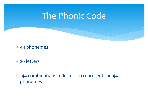### The Phonic Code

- 44 phonemes
- 26 letters
- 144 combinations of letters to represent the 44 phonemes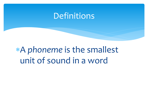#### Definitions

A *phoneme* is the smallest unit of sound in a word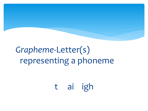## *Grapheme-*Letter(s) representing a phoneme

## t ai igh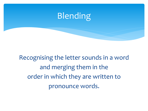

Recognising the letter sounds in a word and merging them in the order in which they are written to pronounce words.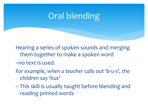## Oral blending

Hearing a series of spoken sounds and merging them together to make a spoken word

- –no text is used.
- *For example, when a teacher calls out 'b-u-s', the children say 'bus'*
- This skill is usually taught before blending and reading printed words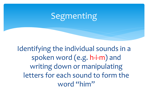## Segmenting

Identifying the individual sounds in a spoken word (e.g. h-i-m) and writing down or manipulating letters for each sound to form the word "him"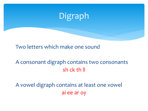

Two letters which make one sound

#### A consonant digraph contains two consonants sh ck th ll

A vowel digraph contains at least one vowel ai ee ar oy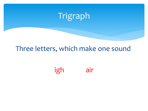

#### Three letters, which make one sound

igh air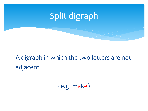

### A digraph in which the two letters are not adjacent

(e.g. make)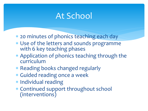## At School

- 20 minutes of phonics teaching each day
- Use of the letters and sounds programme with 6 key teaching phases
- Application of phonics teaching through the curriculum
- \* Reading books changed regularly
- Guided reading once a week
- \* Individual reading
- Continued support throughout school (interventions)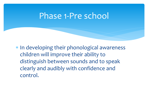### Phase 1-Pre school

\* In developing their phonological awareness children will improve their ability to distinguish between sounds and to speak clearly and audibly with confidence and control.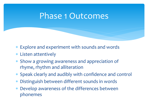#### Phase 1 Outcomes

- Explore and experiment with sounds and words
- Listen attentively
- Show a growing awareness and appreciation of rhyme, rhythm and alliteration
- Speak clearly and audibly with confidence and control
- Distinguish between different sounds in words
- Develop awareness of the differences between phonemes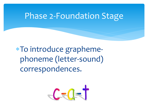#### Phase 2-Foundation Stage

To introduce graphemephoneme (letter-sound) correspondences.

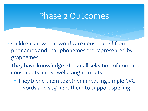#### Phase 2 Outcomes

- Children know that words are constructed from phonemes and that phonemes are represented by graphemes
- They have knowledge of a small selection of common consonants and vowels taught in sets.
	- They blend them together in reading simple CVC words and segment them to support spelling.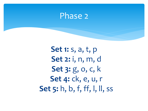#### Phase 2

**Set 1:** s, a, t, p **Set 2:** i, n, m, d **Set 3:** g, o, c, k **Set 4:** ck, e, u, r **Set 5:** h, b, f, ff, l, ll, ss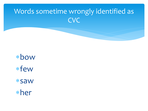### Words sometime wrongly identified as **CVC**

bow few saw her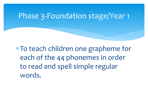#### Phase 3-Foundation stage/Year 1

To teach children one grapheme for each of the 44 phonemes in order to read and spell simple regular words.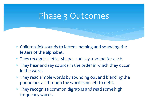## Phase 3 Outcomes

- Children link sounds to letters, naming and sounding the letters of the alphabet.
- They recognise letter shapes and say a sound for each.
- They hear and say sounds in the order in which they occur in the word,
- They read simple words by sounding out and blending the phonemes all through the word from left to right.
- They recognise common digraphs and read some high frequency words.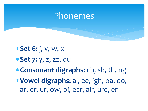#### Phonemes

**Set 6:** j, v, w, x

- **Set 7:** y, z, zz, qu
- **Consonant digraphs:** ch, sh, th, ng
- **Vowel digraphs:** ai, ee, igh, oa, oo, ar, or, ur, ow, oi, ear, air, ure, er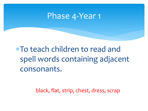#### Phase 4-Year 1

To teach children to read and spell words containing adjacent consonants.

black, flat, strip, chest, dress, scrap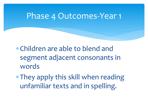#### Phase 4 Outcomes-Year 1

Children are able to blend and segment adjacent consonants in words

They apply this skill when reading unfamiliar texts and in spelling.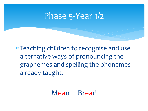### Phase 5-Year 1/2

 Teaching children to recognise and use alternative ways of pronouncing the graphemes and spelling the phonemes already taught.

#### Mean Bread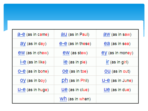| $a-e$ (as in came)                          | <b>au</b> (as in Paul) | aw (as in saw)       |
|---------------------------------------------|------------------------|----------------------|
| $\frac{\partial y}{\partial s}$ (as in day) | e-e (as in these)      | ea (as in sea)       |
| ew (as in chew)                             | ew (as stew)           | ey (as in money)     |
| $I - e$ (as in like)                        | Ie (as in pie)         | If (as in girl)      |
| $O - e$ (as in bone)                        | Oe (as in toe)         | OU (as in out)       |
| OV (as in boy)                              | ph (as in Phil)        | $U - e$ (as in June) |
| $U - e$ (as in huge)                        | Ue (as in clue)        | Ue (as in due)       |
|                                             | Wh (as in when)        |                      |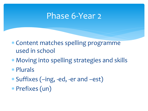#### Phase 6-Year 2

- Content matches spelling programme used in school
- Moving into spelling strategies and skills
- Plurals
- Suffixes (–ing, -ed, -er and –est)
- Prefixes (un)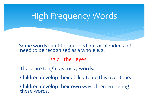## High Frequency Words

Some words can't be sounded out or blended and need to be recognised as a whole e.g.

said the eyes

These are taught as tricky words.

Children develop their ability to do this over time.

Children develop their own way of remembering these words.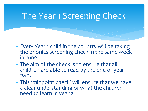## The Year 1 Screening Check

- Every Year 1 child in the country will be taking the phonics screening check in the same week in June.
- The aim of the check is to ensure that all children are able to read by the end of year two.
- This 'midpoint check' will ensure that we have a clear understanding of what the children need to learn in year 2.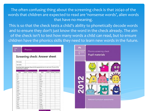The often confusing thing about the screening check is that 20/40 of the words that children are expected to read are 'nonsense words', alien words that have no meaning.

This is so that the check tests a child's ability to phonetically decode words and to ensure they don't just know the word in the check already. The aim of the check isn't to test how many words a child can read, but to ensure children have the phonics skills they need to learn new words in the future.

|                          |           |           |         | Screening check: Answer sheet                                                            |           |          |         |
|--------------------------|-----------|-----------|---------|------------------------------------------------------------------------------------------|-----------|----------|---------|
| First name               |           |           |         |                                                                                          |           |          |         |
| Last name                |           |           |         |                                                                                          |           |          |         |
| comment box is optional. | Section 1 |           |         | Screening check responses: Please tick the appropriate box for each word. The use of the | Section 2 |          |         |
| Ward                     | Correct   | Incorrect | Comment | Word                                                                                     | Correct   | Incomect | Comment |
| tox                      |           |           |         | <b>VOD</b>                                                                               |           |          |         |
| <b>Isize</b>             |           |           |         | jound                                                                                    |           |          |         |
| Vap                      |           |           |         | terg                                                                                     |           |          |         |
| uif                      |           |           |         | fape                                                                                     |           |          |         |
| geck.                    |           |           |         | snemp                                                                                    |           |          |         |
| cham                     |           |           |         | blurst                                                                                   |           |          |         |
| tord                     |           |           |         | spron                                                                                    |           |          |         |
| thazz:                   |           |           |         | stroft                                                                                   |           |          |         |
| <b>Islan</b>             |           |           |         | day                                                                                      |           |          |         |
| stack                    |           |           |         | slide                                                                                    |           |          |         |
| kid                      |           |           |         | newt.                                                                                    |           |          |         |
| quemp                    |           |           |         | phone                                                                                    |           |          |         |
| shin                     |           |           |         | blank                                                                                    |           |          |         |
| gang                     |           |           |         | trains                                                                                   |           |          |         |
| week                     |           |           |         | strap                                                                                    |           |          |         |
| chill                    |           |           |         | scribe                                                                                   |           |          |         |
| grit                     |           | ٠         |         | rusty                                                                                    |           |          |         |
| start                    |           |           |         | finger                                                                                   |           |          |         |
| best                     |           |           |         | dentist                                                                                  |           |          |         |
| hooks                    |           |           |         | starling                                                                                 |           |          |         |

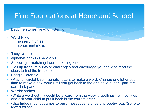#### Firm Foundations at Home and School

Bedtime stories (read or listen to)

- Word Play: nursery rhymes songs and music
- 'I spy' variations
- alphabet books (The Works)
- Shopping matching labels, noticing letters
- •Set up treasure hunts or challenges and encourage your child to read the clues to find the treasure
- Boggle/Scrabble
- •Play full circle! Use magnetic letters to make a word. Change one letter each time to make a new word until you get back to the original e.g. park-part-tartdart-dark-park.
- Wordsearches
- •Write a word out it could be a word from the weekly spellings list cut it up and ask your child to put it back in the correct order.
- •Use fridge magnet games to build messages, stories and poetry, e.g. 'Gone to Matt's for tea!'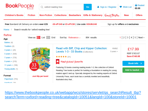

https://www.thebookpeople.co.uk/webapp/wcs/stores/servlet/qs\_searchResult\_tbp? [searchTerm=oxford+reading+tree&catalogId=10051&langId=100&storeId=10001](https://www.thebookpeople.co.uk/webapp/wcs/stores/servlet/qs_searchResult_tbp?searchTerm=oxford+reading+tree&catalogId=10051&langId=100&storeId=10001)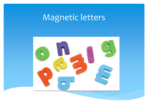## Magnetic letters

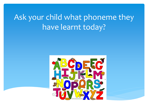## Ask your child what phoneme they have learnt today?

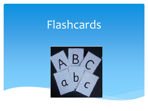# Flashcards

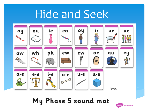# Hide and Seek



My Phase 5 sound mat

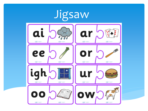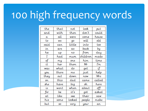# 100 high frequency words

| the  | that  | not    | look         | put    |
|------|-------|--------|--------------|--------|
| and  | with  | then   | don't        | could  |
| a    | all   | were   | come         | house  |
| to   | we    | go     | will         | old    |
| said | can   | little | into         | too    |
| in   | are   | as     | back         | bч     |
| he   | uр    | ro     | from         | day    |
| I    | had   | mum    | children     | made   |
| of   | my    | one    | him          | time   |
| it   | her   | them   | Mr           | ľm     |
| was  | what  | do     | qet          | if     |
| you  | there | me     | just         | help   |
| they | out   | down   | now          | Mrs    |
| on   | this  | dad    | came         | called |
| she  | have  | big    | oh           | here   |
| is   | went  | when   | about        | off    |
| for  | be    | iť's   | asked<br>got |        |
| at   | like  | see    | their        | saw    |
| his  | some  | looked | people       | make   |
|      |       |        |              |        |
| but  | SO    | very   | your         | an     |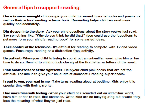#### General tips to support reading

**Once is never enough!** - Encourage your child to re-read favorite books and poems as well as their school reading scheme book. Re-reading helps children read more quickly and accurately.

**Dig deeper into the story**-Ask your child questions about the story you've just read. Say something like, "Why do you think he did that?" (you could use the 'questions to get more form your child's reading book' for some varied ideas.

**Take control of the television** - It's difficult for reading to compete with TV and video games. Encourage reading as a distraction free activity.

Be patient - When your child is trying to sound out an unfamiliar word, give him or her time to do so. Remind to child to look closely at the first letter or letters of the word.

**Pick books that are at the right level** - Help your child pick books that are not too difficult. The aim is to give your child lots of successful reading experiences.

**I read to you, you read to me** - Take turns reading aloud at bedtime. Kids enjoy this special time with their parents.

**One more time with feeling** - When your child has sounded out an unfamiliar word, have him or her re-read that sentence. Often kids are so busy figuring out a word they lose the meaning of what they've just read.